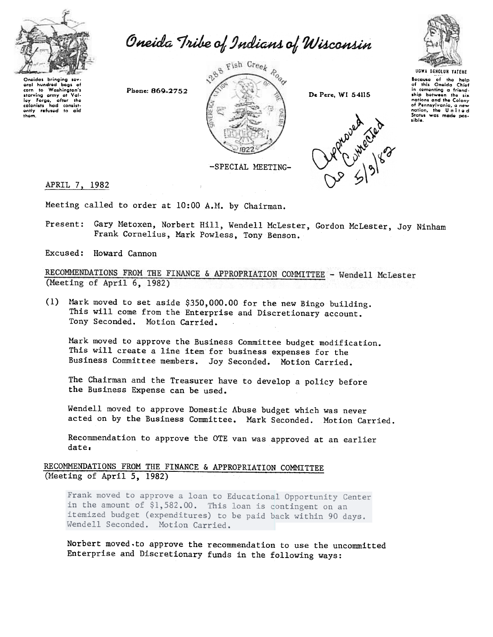

Oneida Tribe of Indians of Wisconsin



De Pere, WI 54115



UGWA DENOLUN YATEHE

Because of the help<br>of this Oneida Chief in comenting a friendship between −<br>⊣ho nations and the Colony of Pennsylvania, a new<br>nation, the United sible.

Oneidas brinaina sev oral hundred bags of<br>corn to Washington's corn to washington's<br>starving army at Val-<br>ley Forge, after the<br>colonists had consist-<br>ently refused to aid<br>them.

-SPECIAL MEETING-

APRIL 7, 1982

Meeting called to order at 10:00 A.M. by Chairman.

Phone: 869-2752

Present: Gary Metoxen, Norbert Hill, Wendell McLester, Gordon McLester, Joy Ninham Frank Cornelius, Mark Powless, Tony Benson.

Excused: Howard Cannon

RECOMMENDATIONS FROM THE FINANCE & APPROPRIATION COMMITTEE - Wendell McLester (Meeting of April 6, 1982)

(1) Mark moved to set aside \$350,000.00 for the new Bingo building. This will come from the Enterprise and Discretionary account. Tony Seconded. Motion Carried.

Mark moved to approve the Business Committee budget modification. This will create a line item for business expenses for the Business Committee members. Joy Seconded. Motion Carried.

The Chairman and the Treasurer have to develop a policy before the Business Expense can be used.

Wendell moved to approve Domestic Abuse budget which was never acted on by the Business Committee. Mark Seconded. Motion Carried.

Recommendation to approve the OTE van was approved at an earlier date.

RECOMMENDATIONS FROM THE FINANCE & APPROPRIATION COMMITTEE (Meeting of April 5, 1982)

Frank moved to approve a loan to Educational Opportunity Center in the amount of \$1,582.00. This loan is contingent on an itemized budget (expenditures) to be paid back within 90 days. Wendell Seconded. Motion Carried.

Norbert moved to approve the recommendation to use the uncommitted Enterprise and Discretionary funds in the following ways: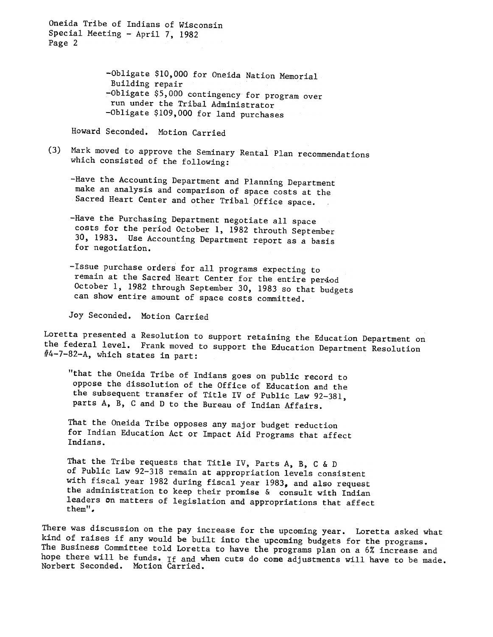Oneida Tribe of Indians of Wisconsin Special Meeting - April 7, 1982 Page 2

> -Obligate \$10,000 for Oneida Nation Memorial Building repair -Obligate \$5,000 contingency for program over run under the Tribal Administrator -Obligate \$109,000 for land purchases

Howard Seconded. Motion Carried

(3) Mark moved to approve the Seminary Rental Plan recommendations which consisted of the following:

-Have the Accounting Department and Planning Department make an analysis and comparison of space costs at the Sacred Heart Center and other Tribal Office space.

-Have the Purchasing Department negotiate all space costs for the period October 1, 1982 throuth September 30, 1983. Use Accounting Department report as a basis for negotiation.

-Issue purchase orders for all programs expecting to remain at the Sacred Heart Center for the entire period October 1, 1982 through September 30, 1983 so that budgets can show entire amount of space costs committed.

Joy Seconded. Motion Carried

Loretta presented a Resolution to support retaining the Education Department on the federal level. Frank moved to support the Education Department Resolution  $#4-7-82-A$ , which states in part:

"that the Oneida Tribe of Indians goes on public record to oppose the dissolution of the Office of Education and the the subsequent transfer of Title IV of Public Law 92-381, parts A, B, C and D to the Bureau of Indian Affairs.

That the Oneida Tribe opposes any major budget reduction for Indian Education Act or Impact Aid Programs that affect Indians.

That the Tribe requests that Title IV, Parts A, B, C & D of Public Law 92-318 remain at appropriation levels consistent with fiscal year 1982 during fiscal year 1983, and also request the administration to keep their promise & consult with Indian leaders On matters of legislation and appropriations that affect them".

There was discussion on the pay increase for the upcoming year. Loretta asked what kind of raises if any would be built into the upcoming budgets for the programs. The Business Committee told Loretta to have the programs plan on a 6% increase and hope there will be funds. If and when cuts do come adjustments will have to be made. Norbert Seconded. Motion Carried.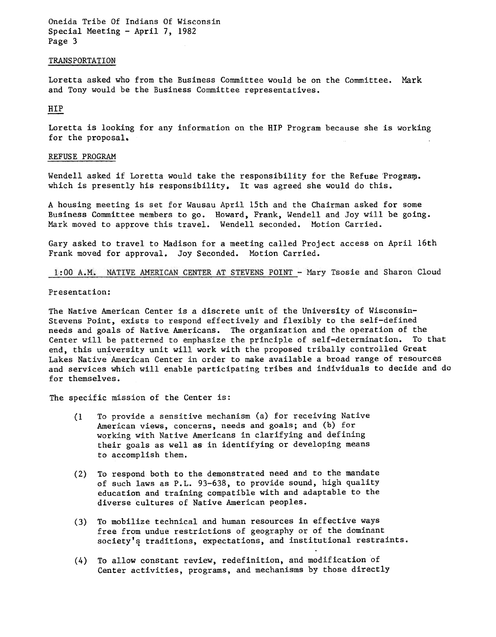Oneida Tribe Of Indians Of Wisconsin Special Meeting - April 7, 1982 Page 3

## TRANSPORTATION

Loretta asked who from the Business Committee would be on the Committee. Mark and Tony would be the Business Committee representatives.

## HIP

Loretta is looking for any information on the HIP Program because she is working for the proposal.

## REFUSE PROGRAM

Wendell asked if Loretta would take the responsibility for the Refuse Program. which is presently his responsibility, It was agreed she would do this.

A housing meeting is set for Wausau April 15th and the Chairman asked for some Business Committee members to go. Howard, Frank, Wendell and Joy will be going. Mark moved to approve this travel. Wendell seconded. Motion Carried.

Gary asked to travel to Madison for a meeting called Project access on April 16th Frank moved for approval. Joy Seconded. Motion Carried.

1:00 A.M. NATIVE AMERICAN CENTER AT STEVENS POINT - Mary Tsosie and Sharon Cloud

## Presentation:

The Native American Center is a discrete unit of the University of Wisconsin-Stevens Point, exists to respond effectively and flexibly to the self-defined needs and goals of Native. Americans. The organization and the operation of the Center will be patterned to emphasize the principle of self-determination. To that end, this university unit will work with the proposed tribally controlled Great Lakes Native' American Center in order to make available a broad range of resources and services which will enable participating tribes and individuals to decide and do for themselves.

The specific mission of the Center is:

- To provide a sensitive mechanism (a) for receiving Native American views, concerns, needs and goals; and (b) for working with Native Americans in clarifying and defining their goals as well as in identifying or developing means to accomplish them. (1
- To respond both to the demonstrated need and to the mandate of such laws as P.L. 93-638, to provide sound, high quality education and training compatible with and adaptable to the diverse cultures of Native American peoples. (2)
- (3) To mobilize technical and human resources in effective ways free from undue restrictions of geography or of the dominant society's traditions, expectations, and institutional restraints.
- (4) To allow constant review, redefinition, and modification of Center activities, programs, and mechanisms by those directly